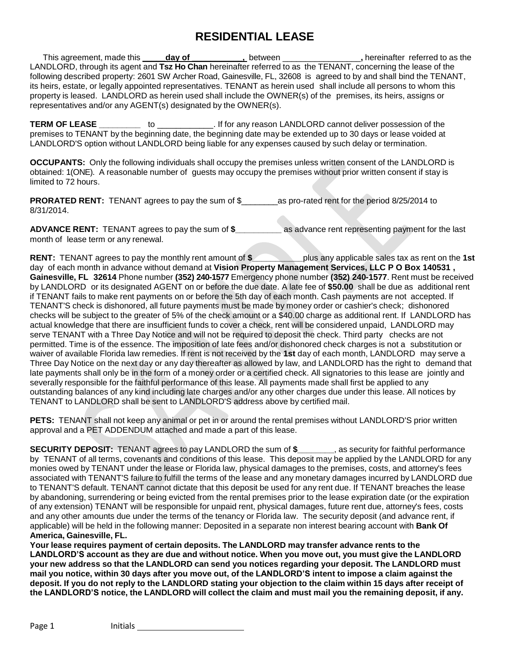# **RESIDENTIAL LEASE**

This agreement, made this **\_\_\_\_\_day of \_\_\_\_\_\_\_\_\_\_\_,** between \_\_\_\_\_\_\_\_\_\_\_\_\_\_\_\_\_**,** hereinafter referred to as the LANDLORD, through its agent and **Tsz Ho Chan** hereinafter referred to as the TENANT, concerning the lease of the following described property: 2601 SW Archer Road, Gainesville, FL, 32608 is agreed to by and shall bind the TENANT, its heirs, estate, or legally appointed representatives. TENANT as herein used shall include all persons to whom this property is leased. LANDLORD as herein used shall include the OWNER(s) of the premises, its heirs, assigns or representatives and/or any AGENT(s) designated by the OWNER(s).

**TERM OF LEASE \_\_\_\_\_\_\_\_\_** to \_\_\_\_\_\_\_\_\_\_\_\_. If for any reason LANDLORD cannot deliver possession of the premises to TENANT by the beginning date, the beginning date may be extended up to 30 days or lease voided at LANDLORD'S option without LANDLORD being liable for any expenses caused by such delay or termination.

**OCCUPANTS:** Only the following individuals shall occupy the premises unless written consent of the LANDLORD is obtained: 1(ONE). A reasonable number of guests may occupy the premises without prior written consent if stay is limited to 72 hours.

**PRORATED RENT:** TENANT agrees to pay the sum of \$\_\_\_\_\_\_\_\_as pro-rated rent for the period 8/25/2014 to 8/31/2014.

**ADVANCE RENT:** TENANT agrees to pay the sum of **\$\_\_\_\_\_\_\_\_\_\_** as advance rent representing payment for the last month of lease term or any renewal.

**RENT:** TENANT agrees to pay the monthly rent amount of **\$\_\_\_\_\_\_\_\_\_\_\_**plus any applicable sales tax as rent on the **1st** day of each month in advance without demand at **Vision Property Management Services, LLC P O Box 140531 , Gainesville, FL 32614** Phone number **(352) 240-1577** Emergency phone number **(352) 240-1577**. Rent must be received by LANDLORD or its designated AGENT on or before the due date. A late fee of **\$50.00** shall be due as additional rent if TENANT fails to make rent payments on or before the 5th day of each month. Cash payments are not accepted. If TENANT'S check is dishonored, all future payments must be made by money order or cashier's check; dishonored checks will be subject to the greater of 5% of the check amount or a \$40.00 charge as additional rent. If LANDLORD has actual knowledge that there are insufficient funds to cover a check, rent will be considered unpaid, LANDLORD may serve TENANT with a Three Day Notice and will not be required to deposit the check. Third party checks are not permitted. Time is of the essence. The imposition of late fees and/or dishonored check charges is not a substitution or waiver of available Florida law remedies. If rent is not received by the **1st** day of each month, LANDLORD may serve a Three Day Notice on the next day or any day thereafter as allowed by law, and LANDLORD has the right to demand that late payments shall only be in the form of a money order or a certified check. All signatories to this lease are jointly and severally responsible for the faithful performance of this lease. All payments made shall first be applied to any outstanding balances of any kind including late charges and/or any other charges due under this lease. All notices by TENANT to LANDLORD shall be sent to LANDLORD'S address above by certified mail.

**PETS:** TENANT shall not keep any animal or pet in or around the rental premises without LANDLORD'S prior written approval and a PET ADDENDUM attached and made a part of this lease.

**SECURITY DEPOSIT:** TENANT agrees to pay LANDLORD the sum of **\$\_\_\_\_\_\_\_\_**, as security for faithful performance by TENANT of all terms, covenants and conditions of this lease. This deposit may be applied by the LANDLORD for any monies owed by TENANT under the lease or Florida law, physical damages to the premises, costs, and attorney's fees associated with TENANT'S failure to fulfill the terms of the lease and any monetary damages incurred by LANDLORD due to TENANT'S default. TENANT cannot dictate that this deposit be used for any rent due. If TENANT breaches the lease by abandoning, surrendering or being evicted from the rental premises prior to the lease expiration date (or the expiration of any extension) TENANT will be responsible for unpaid rent, physical damages, future rent due, attorney's fees, costs and any other amounts due under the terms of the tenancy or Florida law. The security deposit (and advance rent, if applicable) will be held in the following manner: Deposited in a separate non interest bearing account with **Bank Of America, Gainesville, FL.**

**Your lease requires payment of certain deposits. The LANDLORD may transfer advance rents to the** LANDLORD'S account as they are due and without notice. When you move out, you must give the LANDLORD **your new address so that the LANDLORD can send you notices regarding your deposit. The LANDLORD must** mail you notice, within 30 days after you move out, of the LANDLORD'S intent to impose a claim against the deposit. If you do not reply to the LANDLORD stating your objection to the claim within 15 days after receipt of the LANDLORD'S notice, the LANDLORD will collect the claim and must mail you the remaining deposit, if any.

Page 1 Initials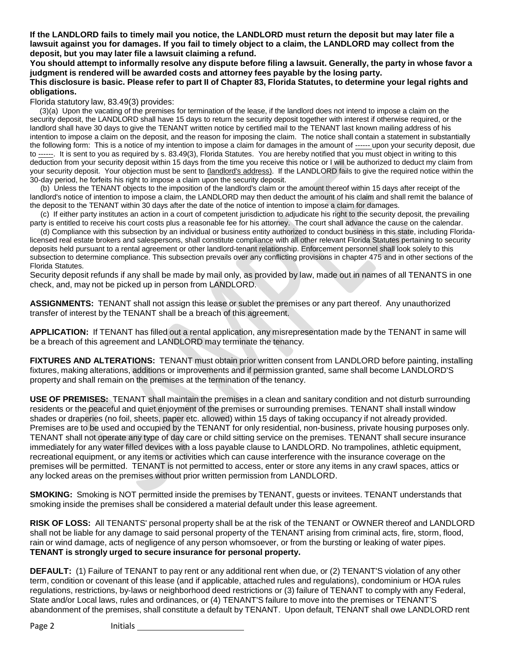If the LANDLORD fails to timely mail you notice, the LANDLORD must return the deposit but may later file a lawsuit against you for damages. If you fail to timely object to a claim, the LANDLORD may collect from the **deposit, but you may later file a lawsuit claiming a refund.**

You should attempt to informally resolve any dispute before filing a lawsuit. Generally, the party in whose favor a **judgment is rendered will be awarded costs and attorney fees payable by the losing party.**

#### This disclosure is basic. Please refer to part II of Chapter 83, Florida Statutes, to determine your legal rights and **obligations.**

Florida statutory law, 83.49(3) provides:

(3)(a) Upon the vacating of the premises for termination of the lease, if the landlord does not intend to impose a claim on the security deposit, the LANDLORD shall have 15 days to return the security deposit together with interest if otherwise required, or the landlord shall have 30 days to give the TENANT written notice by certified mail to the TENANT last known mailing address of his intention to impose a claim on the deposit, and the reason for imposing the claim. The notice shall contain a statement in substantially the following form: This is a notice of my intention to impose a claim for damages in the amount of ------ upon your security deposit, due to ------. It is sent to you as required by s. 83.49(3), Florida Statutes. You are hereby notified that you must object in writing to this deduction from your security deposit within 15 days from the time you receive this notice or I will be authorized to deduct my claim from your security deposit. Your objection must be sent to (landlord's address). If the LANDLORD fails to give the required notice within the 30-day period, he forfeits his right to impose a claim upon the security deposit.

(b) Unless the TENANT objects to the imposition of the landlord's claim or the amount thereof within 15 days after receipt of the landlord's notice of intention to impose a claim, the LANDLORD may then deduct the amount of his claim and shall remit the balance of the deposit to the TENANT within 30 days after the date of the notice of intention to impose a claim for damages.

(c) If either party institutes an action in a court of competent jurisdiction to adjudicate his right to the security deposit, the prevailing party is entitled to receive his court costs plus a reasonable fee for his attorney. The court shall advance the cause on the calendar.

(d) Compliance with this subsection by an individual or business entity authorized to conduct business in this state, including Floridalicensed real estate brokers and salespersons, shall constitute compliance with all other relevant Florida Statutes pertaining to security deposits held pursuant to a rental agreement or other landlord-tenant relationship. Enforcement personnel shall look solely to this subsection to determine compliance. This subsection prevails over any conflicting provisions in chapter 475 and in other sections of the Florida Statutes.

Security deposit refunds if any shall be made by mail only, as provided by law, made out in names of all TENANTS in one check, and, may not be picked up in person from LANDLORD.

**ASSIGNMENTS:** TENANT shall not assign this lease or sublet the premises or any part thereof. Any unauthorized transfer of interest by the TENANT shall be a breach of this agreement.

**APPLICATION:** If TENANT has filled out a rental application, any misrepresentation made by the TENANT in same will be a breach of this agreement and LANDLORD may terminate the tenancy.

**FIXTURES AND ALTERATIONS:** TENANT must obtain prior written consent from LANDLORD before painting, installing fixtures, making alterations, additions or improvements and if permission granted, same shall become LANDLORD'S property and shall remain on the premises at the termination of the tenancy.

**USE OF PREMISES:** TENANT shall maintain the premises in a clean and sanitary condition and not disturb surrounding residents or the peaceful and quiet enjoyment of the premises or surrounding premises. TENANT shall install window shades or draperies (no foil, sheets, paper etc. allowed) within 15 days of taking occupancy if not already provided. Premises are to be used and occupied by the TENANT for only residential, non-business, private housing purposes only. TENANT shall not operate any type of day care or child sitting service on the premises. TENANT shall secure insurance immediately for any water filled devices with a loss payable clause to LANDLORD. No trampolines, athletic equipment, recreational equipment, or any items or activities which can cause interference with the insurance coverage on the premises will be permitted. TENANT is not permitted to access, enter or store any items in any crawl spaces, attics or any locked areas on the premises without prior written permission from LANDLORD.

**SMOKING:** Smoking is NOT permitted inside the premises by TENANT, guests or invitees. TENANT understands that smoking inside the premises shall be considered a material default under this lease agreement.

**RISK OF LOSS:** All TENANTS' personal property shall be at the risk of the TENANT or OWNER thereof and LANDLORD shall not be liable for any damage to said personal property of the TENANT arising from criminal acts, fire, storm, flood, rain or wind damage, acts of negligence of any person whomsoever, or from the bursting or leaking of water pipes. **TENANT is strongly urged to secure insurance for personal property.**

**DEFAULT:** (1) Failure of TENANT to pay rent or any additional rent when due, or (2) TENANT'S violation of any other term, condition or covenant of this lease (and if applicable, attached rules and regulations), condominium or HOA rules regulations, restrictions, by-laws or neighborhood deed restrictions or (3) failure of TENANT to comply with any Federal, State and/or Local laws, rules and ordinances, or (4) TENANT'S failure to move into the premises or TENANT'S abandonment of the premises, shall constitute a default by TENANT. Upon default, TENANT shall owe LANDLORD rent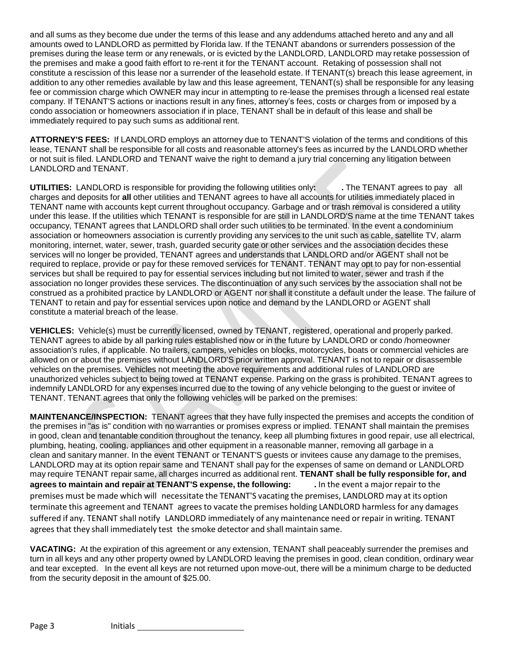and all sums as they become due under the terms of this lease and any addendums attached hereto and any and all amounts owed to LANDLORD as permitted by Florida law. If the TENANT abandons or surrenders possession of the premises during the lease term or any renewals, or is evicted by the LANDLORD, LANDLORD may retake possession of the premises and make a good faith effort to re-rent it for the TENANT account. Retaking of possession shall not constitute a rescission of this lease nor a surrender of the leasehold estate. If TENANT(s) breach this lease agreement, in addition to any other remedies available by law and this lease agreement, TENANT(s) shall be responsible for any leasing fee or commission charge which OWNER may incur in attempting to re-lease the premises through a licensed real estate company. If TENANT'S actions or inactions result in any fines, attorney's fees, costs or charges from or imposed by a condo association or homeowners association if in place, TENANT shall be in default of this lease and shall be immediately required to pay such sums as additional rent.

**ATTORNEY'S FEES:** If LANDLORD employs an attorney due to TENANT'S violation of the terms and conditions of this lease, TENANT shall be responsible for all costs and reasonable attorney's fees as incurred by the LANDLORD whether or not suit is filed. LANDLORD and TENANT waive the right to demand a jury trial concerning any litigation between LANDLORD and TENANT.

**UTILITIES:** LANDLORD is responsible for providing the following utilities only**: .** The TENANT agrees to pay all charges and deposits for **all** other utilities and TENANT agrees to have all accounts for utilities immediately placed in TENANT name with accounts kept current throughout occupancy. Garbage and or trash removal is considered a utility under this lease. If the utilities which TENANT is responsible for are still in LANDLORD'S name at the time TENANT takes occupancy, TENANT agrees that LANDLORD shall order such utilities to be terminated. In the event a condominium association or homeowners association is currently providing any services to the unit such as cable, satellite TV, alarm monitoring, internet, water, sewer, trash, guarded security gate or other services and the association decides these services will no longer be provided, TENANT agrees and understands that LANDLORD and/or AGENT shall not be required to replace, provide or pay for these removed services for TENANT. TENANT may opt to pay for non-essential services but shall be required to pay for essential services including but not limited to water, sewer and trash if the association no longer provides these services. The discontinuation of any such services by the association shall not be construed as a prohibited practice by LANDLORD or AGENT nor shall it constitute a default under the lease. The failure of TENANT to retain and pay for essential services upon notice and demand by the LANDLORD or AGENT shall constitute a material breach of the lease.

**VEHICLES:** Vehicle(s) must be currently licensed, owned by TENANT, registered, operational and properly parked. TENANT agrees to abide by all parking rules established now or in the future by LANDLORD or condo /homeowner association's rules, if applicable. No trailers, campers, vehicles on blocks, motorcycles, boats or commercial vehicles are allowed on or about the premises without LANDLORD'S prior written approval. TENANT is not to repair or disassemble vehicles on the premises. Vehicles not meeting the above requirements and additional rules of LANDLORD are unauthorized vehicles subject to being towed at TENANT expense. Parking on the grass is prohibited. TENANT agrees to indemnify LANDLORD for any expenses incurred due to the towing of any vehicle belonging to the guest or invitee of TENANT. TENANT agrees that only the following vehicles will be parked on the premises:

**MAINTENANCE/INSPECTION:** TENANT agrees that they have fully inspected the premises and accepts the condition of the premises in "as is" condition with no warranties or promises express or implied. TENANT shall maintain the premises in good, clean and tenantable condition throughout the tenancy, keep all plumbing fixtures in good repair, use all electrical, plumbing, heating, cooling, appliances and other equipment in a reasonable manner, removing all garbage in a clean and sanitary manner. In the event TENANT or TENANT'S guests or invitees cause any damage to the premises, LANDLORD may at its option repair same and TENANT shall pay for the expenses of same on demand or LANDLORD may require TENANT repair same, all charges incurred as additional rent. **TENANT shall be fully responsible for, and agrees to maintain and repair at TENANT'S expense, the following: .** In the event a major repair to the premises must be made which will necessitate the TENANT'S vacating the premises, LANDLORD may at its option terminate this agreement and TENANT agrees to vacate the premises holding LANDLORD harmless for any damages suffered if any. TENANT shall notify LANDLORD immediately of any maintenance need or repair in writing. TENANT agrees that they shall immediately test the smoke detector and shall maintain same.

**VACATING:** At the expiration of this agreement or any extension, TENANT shall peaceably surrender the premises and turn in all keys and any other property owned by LANDLORD leaving the premises in good, clean condition, ordinary wear and tear excepted. In the event all keys are not returned upon move-out, there will be a minimum charge to be deducted from the security deposit in the amount of \$25.00.

Page 3 Initials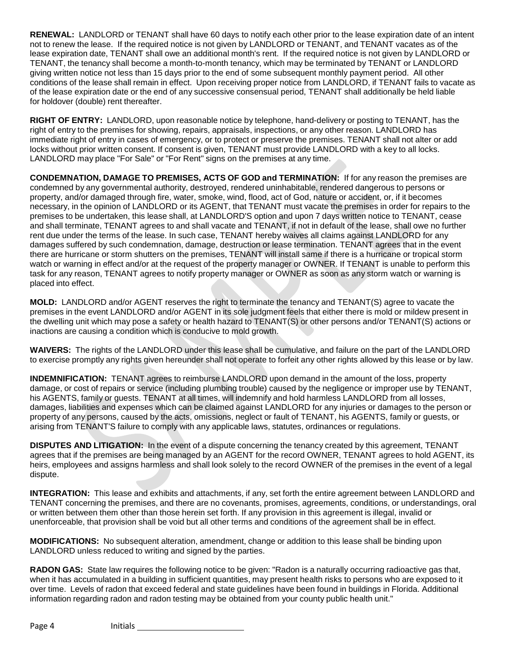**RENEWAL:** LANDLORD or TENANT shall have 60 days to notify each other prior to the lease expiration date of an intent not to renew the lease. If the required notice is not given by LANDLORD or TENANT, and TENANT vacates as of the lease expiration date, TENANT shall owe an additional month's rent. If the required notice is not given by LANDLORD or TENANT, the tenancy shall become a month-to-month tenancy, which may be terminated by TENANT or LANDLORD giving written notice not less than 15 days prior to the end of some subsequent monthly payment period. All other conditions of the lease shall remain in effect. Upon receiving proper notice from LANDLORD, if TENANT fails to vacate as of the lease expiration date or the end of any successive consensual period, TENANT shall additionally be held liable for holdover (double) rent thereafter.

**RIGHT OF ENTRY:** LANDLORD, upon reasonable notice by telephone, hand-delivery or posting to TENANT, has the right of entry to the premises for showing, repairs, appraisals, inspections, or any other reason. LANDLORD has immediate right of entry in cases of emergency, or to protect or preserve the premises. TENANT shall not alter or add locks without prior written consent. If consent is given, TENANT must provide LANDLORD with a key to all locks. LANDLORD may place "For Sale" or "For Rent" signs on the premises at any time.

**CONDEMNATION, DAMAGE TO PREMISES, ACTS OF GOD and TERMINATION:** If for any reason the premises are condemned by any governmental authority, destroyed, rendered uninhabitable, rendered dangerous to persons or property, and/or damaged through fire, water, smoke, wind, flood, act of God, nature or accident, or, if it becomes necessary, in the opinion of LANDLORD or its AGENT, that TENANT must vacate the premises in order for repairs to the premises to be undertaken, this lease shall, at LANDLORD'S option and upon 7 days written notice to TENANT, cease and shall terminate, TENANT agrees to and shall vacate and TENANT, if not in default of the lease, shall owe no further rent due under the terms of the lease. In such case, TENANT hereby waives all claims against LANDLORD for any damages suffered by such condemnation, damage, destruction or lease termination. TENANT agrees that in the event there are hurricane or storm shutters on the premises, TENANT will install same if there is a hurricane or tropical storm watch or warning in effect and/or at the request of the property manager or OWNER. If TENANT is unable to perform this task for any reason, TENANT agrees to notify property manager or OWNER as soon as any storm watch or warning is placed into effect.

**MOLD:** LANDLORD and/or AGENT reserves the right to terminate the tenancy and TENANT(S) agree to vacate the premises in the event LANDLORD and/or AGENT in its sole judgment feels that either there is mold or mildew present in the dwelling unit which may pose a safety or health hazard to TENANT(S) or other persons and/or TENANT(S) actions or inactions are causing a condition which is conducive to mold growth.

**WAIVERS:** The rights of the LANDLORD under this lease shall be cumulative, and failure on the part of the LANDLORD to exercise promptly any rights given hereunder shall not operate to forfeit any other rights allowed by this lease or by law.

**INDEMNIFICATION:** TENANT agrees to reimburse LANDLORD upon demand in the amount of the loss, property damage, or cost of repairs or service (including plumbing trouble) caused by the negligence or improper use by TENANT, his AGENTS, family or guests. TENANT at all times, will indemnify and hold harmless LANDLORD from all losses, damages, liabilities and expenses which can be claimed against LANDLORD for any injuries or damages to the person or property of any persons, caused by the acts, omissions, neglect or fault of TENANT, his AGENTS, family or guests, or arising from TENANT'S failure to comply with any applicable laws, statutes, ordinances or regulations.

**DISPUTES AND LITIGATION:** In the event of a dispute concerning the tenancy created by this agreement, TENANT agrees that if the premises are being managed by an AGENT for the record OWNER, TENANT agrees to hold AGENT, its heirs, employees and assigns harmless and shall look solely to the record OWNER of the premises in the event of a legal dispute.

**INTEGRATION:** This lease and exhibits and attachments, if any, set forth the entire agreement between LANDLORD and TENANT concerning the premises, and there are no covenants, promises, agreements, conditions, or understandings, oral or written between them other than those herein set forth. If any provision in this agreement is illegal, invalid or unenforceable, that provision shall be void but all other terms and conditions of the agreement shall be in effect.

**MODIFICATIONS:** No subsequent alteration, amendment, change or addition to this lease shall be binding upon LANDLORD unless reduced to writing and signed by the parties.

**RADON GAS:** State law requires the following notice to be given: "Radon is a naturally occurring radioactive gas that, when it has accumulated in a building in sufficient quantities, may present health risks to persons who are exposed to it over time. Levels of radon that exceed federal and state guidelines have been found in buildings in Florida. Additional information regarding radon and radon testing may be obtained from your county public health unit."

Page 4 Initials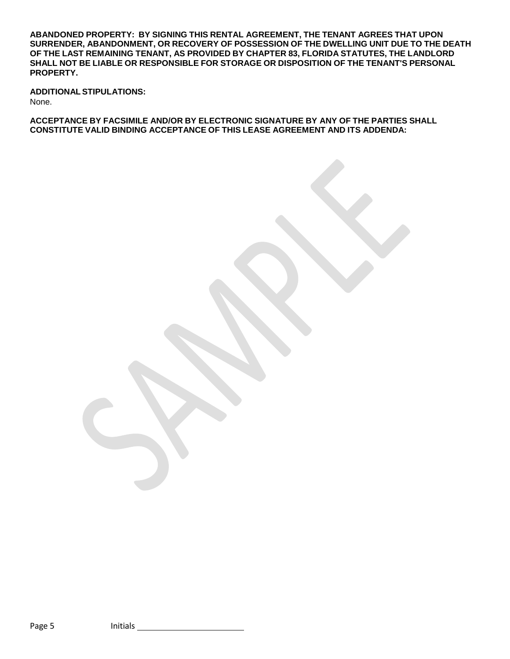**ABANDONED PROPERTY: BY SIGNING THIS RENTAL AGREEMENT, THE TENANT AGREES THAT UPON SURRENDER, ABANDONMENT, OR RECOVERY OF POSSESSION OF THE DWELLING UNIT DUE TO THE DEATH OF THE LAST REMAINING TENANT, AS PROVIDED BY CHAPTER 83, FLORIDA STATUTES, THE LANDLORD SHALL NOT BE LIABLE OR RESPONSIBLE FOR STORAGE OR DISPOSITION OF THE TENANT'S PERSONAL PROPERTY.**

**ADDITIONALSTIPULATIONS:** None.

**ACCEPTANCE BY FACSIMILE AND/OR BY ELECTRONIC SIGNATURE BY ANY OF THE PARTIES SHALL CONSTITUTE VALID BINDING ACCEPTANCE OF THIS LEASE AGREEMENT AND ITS ADDENDA:**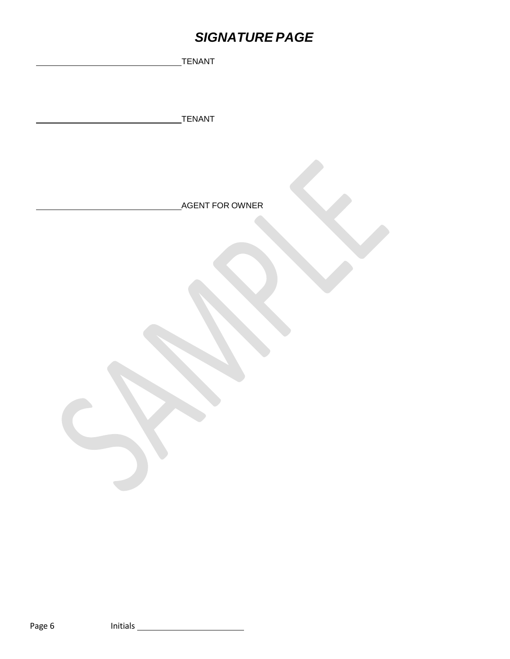# *SIGNATURE PAGE*

| TENANT          |
|-----------------|
|                 |
|                 |
|                 |
| <b>TENANT</b>   |
|                 |
|                 |
|                 |
|                 |
| AGENT FOR OWNER |
|                 |
|                 |
|                 |
|                 |
|                 |
|                 |
|                 |
|                 |
|                 |
|                 |
|                 |
|                 |
|                 |
| $\mathbf{S}$    |
|                 |
|                 |
|                 |
|                 |
|                 |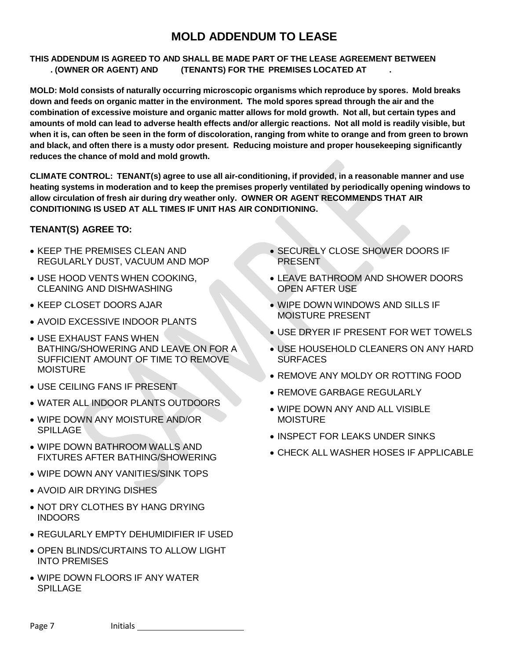## **MOLD ADDENDUM TO LEASE**

#### **THIS ADDENDUM IS AGREED TO AND SHALL BE MADE PART OF THE LEASE AGREEMENT BETWEEN . (OWNER OR AGENT) AND (TENANTS) FOR THE PREMISES LOCATED AT .**

**MOLD: Mold consists of naturally occurring microscopic organisms which reproduce by spores. Mold breaks** down and feeds on organic matter in the environment. The mold spores spread through the air and the combination of excessive moisture and organic matter allows for mold growth. Not all, but certain types and amounts of mold can lead to adverse health effects and/or allergic reactions. Not all mold is readily visible, but when it is, can often be seen in the form of discoloration, ranging from white to orange and from green to brown **and black, and often there is a musty odor present. Reducing moisture and proper housekeeping significantly reduces the chance of mold and mold growth.**

**CLIMATE CONTROL: TENANT(s) agree to use all air-conditioning, if provided, in a reasonable manner and use heating systems in moderation and to keep the premises properly ventilated by periodically opening windows to allow circulation of fresh air during dry weather only. OWNER OR AGENT RECOMMENDS THAT AIR CONDITIONING IS USED AT ALL TIMES IF UNIT HAS AIR CONDITIONING.**

### **TENANT(S) AGREE TO:**

- KEEP THE PREMISES CLEAN AND REGULARLY DUST, VACUUM AND MOP
- USE HOOD VENTS WHEN COOKING, CLEANING AND DISHWASHING
- **KEEP CLOSET DOORS AJAR**
- AVOID EXCESSIVE INDOOR PLANTS
- USE EXHAUST FANS WHEN BATHING/SHOWERING AND LEAVE ON FOR A SUFFICIENT AMOUNT OF TIME TO REMOVE **MOISTURE**
- USE CEILING FANS IF PRESENT
- WATER ALL INDOOR PLANTS OUTDOORS
- WIPE DOWN ANY MOISTURE AND/OR SPILLAGE
- WIPE DOWN BATHROOM WALLS AND FIXTURES AFTER BATHING/SHOWERING
- WIPE DOWN ANY VANITIES/SINK TOPS
- AVOID AIR DRYING DISHES
- NOT DRY CLOTHES BY HANG DRYING INDOORS
- REGULARLY EMPTY DEHUMIDIFIER IF USED
- OPEN BLINDS/CURTAINS TO ALLOW LIGHT INTO PREMISES
- WIPE DOWN FLOORS IF ANY WATER SPILLAGE
- SECURELY CLOSE SHOWER DOORS IF PRESENT
- LEAVE BATHROOM AND SHOWER DOORS OPEN AFTER USE
- WIPE DOWN WINDOWS AND SILLS IF MOISTURE PRESENT
- USE DRYER IF PRESENT FOR WET TOWELS
- USE HOUSEHOLD CLEANERS ON ANY HARD **SURFACES**
- REMOVE ANY MOLDY OR ROTTING FOOD
- **REMOVE GARBAGE REGULARLY**
- WIPE DOWN ANY AND ALL VISIBLE MOISTURE
- INSPECT FOR LEAKS UNDER SINKS
- CHECK ALL WASHER HOSES IF APPLICABLE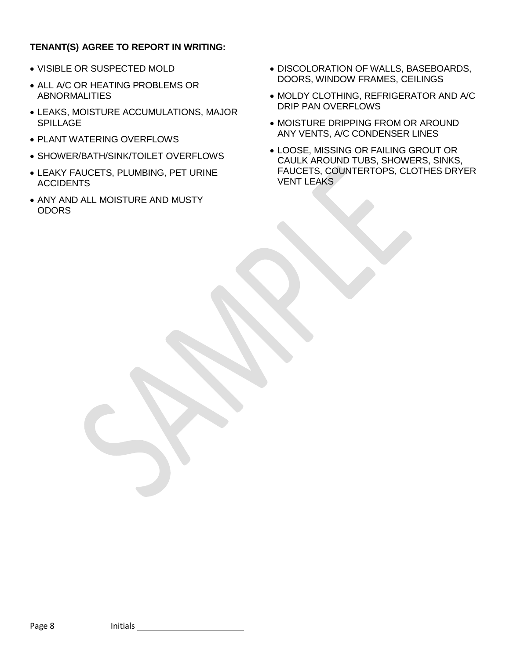### **TENANT(S) AGREE TO REPORT IN WRITING:**

- VISIBLE OR SUSPECTED MOLD
- ALL A/C OR HEATING PROBLEMS OR ABNORMALITIES
- LEAKS, MOISTURE ACCUMULATIONS, MAJOR SPILLAGE
- PLANT WATERING OVERFLOWS
- SHOWER/BATH/SINK/TOILET OVERFLOWS
- LEAKY FAUCETS, PLUMBING, PET URINE ACCIDENTS
- ANY AND ALL MOISTURE AND MUSTY **ODORS**
- DISCOLORATION OF WALLS, BASEBOARDS, DOORS, WINDOW FRAMES, CEILINGS
- MOLDY CLOTHING, REFRIGERATOR AND A/C DRIP PAN OVERFLOWS
- MOISTURE DRIPPING FROM OR AROUND ANY VENTS, A/C CONDENSER LINES
- LOOSE, MISSING OR FAILING GROUT OR CAULK AROUND TUBS, SHOWERS, SINKS, FAUCETS, COUNTERTOPS, CLOTHES DRYER VENT LEAKS